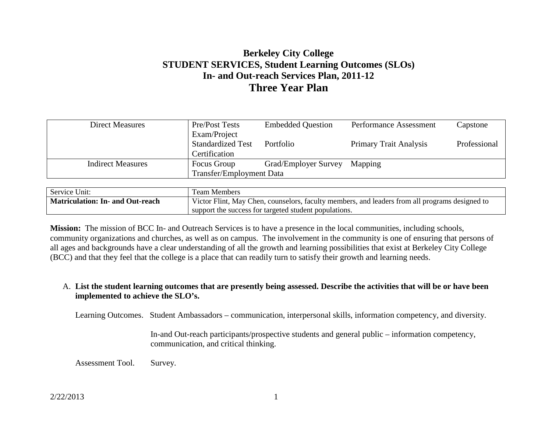# **Berkeley City College STUDENT SERVICES, Student Learning Outcomes (SLOs) In- and Out-reach Services Plan, 2011-12 Three Year Plan**

| <b>Direct Measures</b>   | <b>Pre/Post Tests</b>           | <b>Embedded Question</b> | <b>Performance Assessment</b> | Capstone     |
|--------------------------|---------------------------------|--------------------------|-------------------------------|--------------|
|                          | Exam/Project                    |                          |                               |              |
|                          | <b>Standardized Test</b>        | Portfolio                | <b>Primary Trait Analysis</b> | Professional |
|                          | Certification                   |                          |                               |              |
| <b>Indirect Measures</b> | Focus Group                     | Grad/Employer Survey     | Mapping                       |              |
|                          | <b>Transfer/Employment Data</b> |                          |                               |              |

| Service Unit:                    | Team Members                                                                                   |  |  |
|----------------------------------|------------------------------------------------------------------------------------------------|--|--|
| Matriculation: In- and Out-reach | Victor Flint, May Chen, counselors, faculty members, and leaders from all programs designed to |  |  |
|                                  | support the success for targeted student populations.                                          |  |  |

**Mission:** The mission of BCC In- and Outreach Services is to have a presence in the local communities, including schools, community organizations and churches, as well as on campus. The involvement in the community is one of ensuring that persons of all ages and backgrounds have a clear understanding of all the growth and learning possibilities that exist at Berkeley City College (BCC) and that they feel that the college is a place that can readily turn to satisfy their growth and learning needs.

# A. **List the student learning outcomes that are presently being assessed. Describe the activities that will be or have been implemented to achieve the SLO's.**

Learning Outcomes. Student Ambassadors – communication, interpersonal skills, information competency, and diversity.

In-and Out-reach participants/prospective students and general public – information competency, communication, and critical thinking.

Assessment Tool. Survey.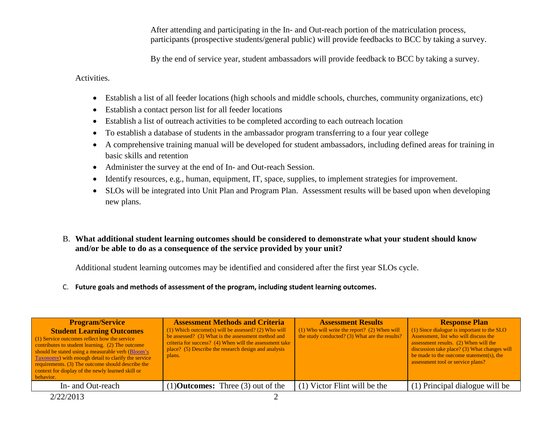After attending and participating in the In- and Out-reach portion of the matriculation process, participants (prospective students/general public) will provide feedbacks to BCC by taking a survey.

By the end of service year, student ambassadors will provide feedback to BCC by taking a survey.

Activities.

- Establish a list of all feeder locations (high schools and middle schools, churches, community organizations, etc)
- Establish a contact person list for all feeder locations
- Establish a list of outreach activities to be completed according to each outreach location
- To establish a database of students in the ambassador program transferring to a four year college
- A comprehensive training manual will be developed for student ambassadors, including defined areas for training in basic skills and retention
- Administer the survey at the end of In- and Out-reach Session.
- Identify resources, e.g., human, equipment, IT, space, supplies, to implement strategies for improvement.
- SLOs will be integrated into Unit Plan and Program Plan. Assessment results will be based upon when developing new plans.
- B. **What additional student learning outcomes should be considered to demonstrate what your student should know and/or be able to do as a consequence of the service provided by your unit?**

Additional student learning outcomes may be identified and considered after the first year SLOs cycle.

C. **Future goals and methods of assessment of the program, including student learning outcomes.**

| <b>Program/Service</b><br><b>Student Learning Outcomes</b><br>(1) Service outcomes reflect how the service<br>contributes to student learning. (2) The outcome<br>should be stated using a measurable verb (Bloom's<br><b>Taxonomy</b> ) with enough detail to clarify the service<br>requirements. (3) The outcome should describe the<br>context for display of the newly learned skill or<br>behavior. | <b>Assessment Methods and Criteria</b><br>$(1)$ Which outcome(s) will be assessed? (2) Who will<br>be assessed? (3) What is the assessment method and<br>criteria for success? (4) When will the assessment take<br>place? (5) Describe the research design and analysis<br>plans. | <b>Assessment Results</b><br>$(1)$ Who will write the report? $(2)$ When will<br>the study conducted? (3) What are the results? | <b>Response Plan</b><br>(1) Since dialogue is important to the SLO<br>Assessment, list who will discuss the<br>assessment results. (2) When will the<br>discussion take place? (3) What changes will<br>be made to the outcome statement(s), the<br>assessment tool or service plans? |
|-----------------------------------------------------------------------------------------------------------------------------------------------------------------------------------------------------------------------------------------------------------------------------------------------------------------------------------------------------------------------------------------------------------|------------------------------------------------------------------------------------------------------------------------------------------------------------------------------------------------------------------------------------------------------------------------------------|---------------------------------------------------------------------------------------------------------------------------------|---------------------------------------------------------------------------------------------------------------------------------------------------------------------------------------------------------------------------------------------------------------------------------------|
| In- and Out-reach                                                                                                                                                                                                                                                                                                                                                                                         | $(1)$ <b>Outcomes:</b> Three $(3)$ out of the                                                                                                                                                                                                                                      | (1) Victor Flint will be the                                                                                                    | (1) Principal dialogue will be                                                                                                                                                                                                                                                        |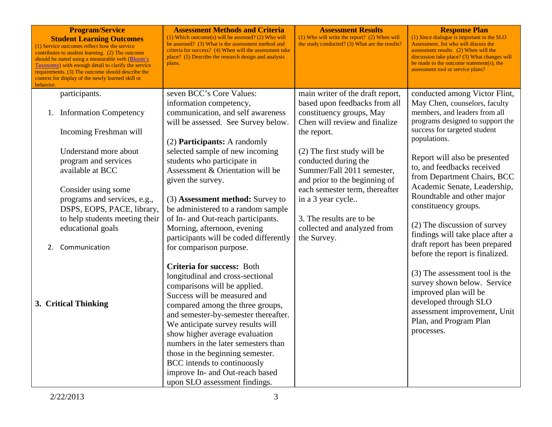| <b>Program/Service</b><br><b>Student Learning Outcomes</b><br>(1) Service outcomes reflect how the service<br>contributes to student learning. (2) The outcome<br>should be stated using a measurable verb (Bloom's<br>Taxonomy) with enough detail to clarify the service<br>requirements. (3) The outcome should describe the<br>context for display of the newly learned skill or<br>behavior. | <b>Assessment Methods and Criteria</b><br>(1) Which outcome(s) will be assessed? (2) Who will<br>be assessed? (3) What is the assessment method and<br>criteria for success? (4) When will the assessment take<br>place? (5) Describe the research design and analysis<br>plans.                                                                                                                                                                                | <b>Assessment Results</b><br>(1) Who will write the report? (2) When will<br>the study conducted? (3) What are the results?                                                                                                                          | <b>Response Plan</b><br>(1) Since dialogue is important to the SLO<br>Assessment, list who will discuss the<br>assessment results. (2) When will the<br>discussion take place? (3) What changes will<br>be made to the outcome statement(s), the<br>assessment tool or service plans?                                     |
|---------------------------------------------------------------------------------------------------------------------------------------------------------------------------------------------------------------------------------------------------------------------------------------------------------------------------------------------------------------------------------------------------|-----------------------------------------------------------------------------------------------------------------------------------------------------------------------------------------------------------------------------------------------------------------------------------------------------------------------------------------------------------------------------------------------------------------------------------------------------------------|------------------------------------------------------------------------------------------------------------------------------------------------------------------------------------------------------------------------------------------------------|---------------------------------------------------------------------------------------------------------------------------------------------------------------------------------------------------------------------------------------------------------------------------------------------------------------------------|
| participants.<br>1. Information Competency<br>Incoming Freshman will                                                                                                                                                                                                                                                                                                                              | seven BCC's Core Values:<br>information competency,<br>communication, and self awareness<br>will be assessed. See Survey below.<br>(2) <b>Participants:</b> A randomly                                                                                                                                                                                                                                                                                          | main writer of the draft report,<br>based upon feedbacks from all<br>constituency groups, May<br>Chen will review and finalize<br>the report.                                                                                                        | conducted among Victor Flint,<br>May Chen, counselors, faculty<br>members, and leaders from all<br>programs designed to support the<br>success for targeted student<br>populations.                                                                                                                                       |
| Understand more about<br>program and services<br>available at BCC<br>Consider using some<br>programs and services, e.g.,<br>DSPS, EOPS, PACE, library,<br>to help students meeting their<br>educational goals<br>Communication<br>2.                                                                                                                                                              | selected sample of new incoming<br>students who participate in<br>Assessment & Orientation will be<br>given the survey.<br>(3) Assessment method: Survey to<br>be administered to a random sample<br>of In- and Out-reach participants.<br>Morning, afternoon, evening<br>participants will be coded differently<br>for comparison purpose.                                                                                                                     | (2) The first study will be<br>conducted during the<br>Summer/Fall 2011 semester,<br>and prior to the beginning of<br>each semester term, thereafter<br>in a 3 year cycle<br>3. The results are to be.<br>collected and analyzed from<br>the Survey. | Report will also be presented<br>to, and feedbacks received<br>from Department Chairs, BCC<br>Academic Senate, Leadership,<br>Roundtable and other major<br>constituency groups.<br>(2) The discussion of survey<br>findings will take place after a<br>draft report has been prepared<br>before the report is finalized. |
| 3. Critical Thinking                                                                                                                                                                                                                                                                                                                                                                              | Criteria for success: Both<br>longitudinal and cross-sectional<br>comparisons will be applied.<br>Success will be measured and<br>compared among the three groups,<br>and semester-by-semester thereafter.<br>We anticipate survey results will<br>show higher average evaluation<br>numbers in the later semesters than<br>those in the beginning semester.<br>BCC intends to continuously<br>improve In- and Out-reach based<br>upon SLO assessment findings. |                                                                                                                                                                                                                                                      | (3) The assessment tool is the<br>survey shown below. Service<br>improved plan will be<br>developed through SLO<br>assessment improvement, Unit<br>Plan, and Program Plan<br>processes.                                                                                                                                   |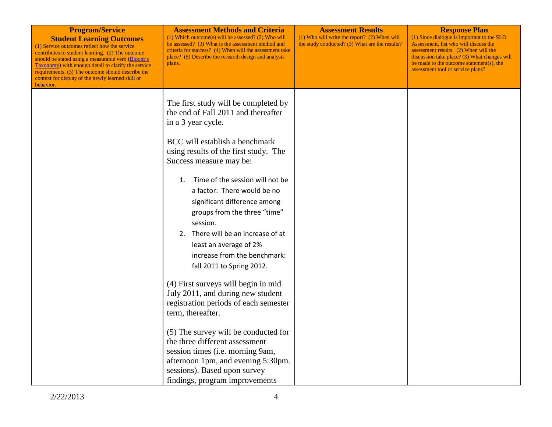| <b>Program/Service</b><br><b>Student Learning Outcomes</b><br>(1) Service outcomes reflect how the service<br>contributes to student learning. (2) The outcome<br>should be stated using a measurable verb (Bloom's<br><b>Taxonomy</b> ) with enough detail to clarify the service<br>requirements. (3) The outcome should describe the<br>context for display of the newly learned skill or<br>behavior. | <b>Assessment Methods and Criteria</b><br>$(1)$ Which outcome(s) will be assessed? (2) Who will<br>be assessed? (3) What is the assessment method and<br>criteria for success? (4) When will the assessment take<br>place? (5) Describe the research design and analysis<br>plans.                                                                                                                                                                                                                                                                                                                                                                                                                                                               | <b>Assessment Results</b><br>$(1)$ Who will write the report? $(2)$ When will<br>the study conducted? (3) What are the results? | <b>Response Plan</b><br>(1) Since dialogue is important to the SLO<br>Assessment, list who will discuss the<br>assessment results. (2) When will the<br>discussion take place? (3) What changes will<br>be made to the outcome statement(s), the<br>assessment tool or service plans? |
|-----------------------------------------------------------------------------------------------------------------------------------------------------------------------------------------------------------------------------------------------------------------------------------------------------------------------------------------------------------------------------------------------------------|--------------------------------------------------------------------------------------------------------------------------------------------------------------------------------------------------------------------------------------------------------------------------------------------------------------------------------------------------------------------------------------------------------------------------------------------------------------------------------------------------------------------------------------------------------------------------------------------------------------------------------------------------------------------------------------------------------------------------------------------------|---------------------------------------------------------------------------------------------------------------------------------|---------------------------------------------------------------------------------------------------------------------------------------------------------------------------------------------------------------------------------------------------------------------------------------|
|                                                                                                                                                                                                                                                                                                                                                                                                           | The first study will be completed by<br>the end of Fall 2011 and thereafter<br>in a 3 year cycle.<br>BCC will establish a benchmark<br>using results of the first study. The<br>Success measure may be:<br>Time of the session will not be<br>1.<br>a factor: There would be no<br>significant difference among<br>groups from the three "time"<br>session.<br>2. There will be an increase of at<br>least an average of 2%<br>increase from the benchmark:<br>fall 2011 to Spring 2012.<br>(4) First surveys will begin in mid<br>July 2011, and during new student<br>registration periods of each semester<br>term, thereafter.<br>(5) The survey will be conducted for<br>the three different assessment<br>session times (i.e. morning 9am, |                                                                                                                                 |                                                                                                                                                                                                                                                                                       |
|                                                                                                                                                                                                                                                                                                                                                                                                           | afternoon 1pm, and evening 5:30pm.<br>sessions). Based upon survey<br>findings, program improvements                                                                                                                                                                                                                                                                                                                                                                                                                                                                                                                                                                                                                                             |                                                                                                                                 |                                                                                                                                                                                                                                                                                       |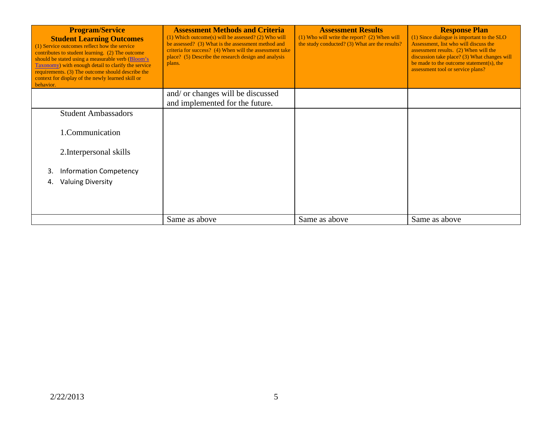| <b>Program/Service</b><br><b>Student Learning Outcomes</b><br>(1) Service outcomes reflect how the service<br>contributes to student learning. (2) The outcome<br>should be stated using a measurable verb (Bloom's<br><b>Taxonomy</b> ) with enough detail to clarify the service<br>requirements. (3) The outcome should describe the<br>context for display of the newly learned skill or<br>behavior. | <b>Assessment Methods and Criteria</b><br>$(1)$ Which outcome(s) will be assessed? (2) Who will<br>be assessed? (3) What is the assessment method and<br>criteria for success? (4) When will the assessment take<br>place? (5) Describe the research design and analysis<br>plans. | <b>Assessment Results</b><br>$(1)$ Who will write the report? $(2)$ When will<br>the study conducted? (3) What are the results? | <b>Response Plan</b><br>(1) Since dialogue is important to the SLO<br>Assessment, list who will discuss the<br>assessment results. (2) When will the<br>discussion take place? (3) What changes will<br>be made to the outcome statement(s), the<br>assessment tool or service plans? |
|-----------------------------------------------------------------------------------------------------------------------------------------------------------------------------------------------------------------------------------------------------------------------------------------------------------------------------------------------------------------------------------------------------------|------------------------------------------------------------------------------------------------------------------------------------------------------------------------------------------------------------------------------------------------------------------------------------|---------------------------------------------------------------------------------------------------------------------------------|---------------------------------------------------------------------------------------------------------------------------------------------------------------------------------------------------------------------------------------------------------------------------------------|
|                                                                                                                                                                                                                                                                                                                                                                                                           | and/ or changes will be discussed<br>and implemented for the future.                                                                                                                                                                                                               |                                                                                                                                 |                                                                                                                                                                                                                                                                                       |
| <b>Student Ambassadors</b>                                                                                                                                                                                                                                                                                                                                                                                |                                                                                                                                                                                                                                                                                    |                                                                                                                                 |                                                                                                                                                                                                                                                                                       |
| 1.Communication                                                                                                                                                                                                                                                                                                                                                                                           |                                                                                                                                                                                                                                                                                    |                                                                                                                                 |                                                                                                                                                                                                                                                                                       |
| 2. Interpersonal skills                                                                                                                                                                                                                                                                                                                                                                                   |                                                                                                                                                                                                                                                                                    |                                                                                                                                 |                                                                                                                                                                                                                                                                                       |
| <b>Information Competency</b><br>3.                                                                                                                                                                                                                                                                                                                                                                       |                                                                                                                                                                                                                                                                                    |                                                                                                                                 |                                                                                                                                                                                                                                                                                       |
| <b>Valuing Diversity</b><br>4.                                                                                                                                                                                                                                                                                                                                                                            |                                                                                                                                                                                                                                                                                    |                                                                                                                                 |                                                                                                                                                                                                                                                                                       |
|                                                                                                                                                                                                                                                                                                                                                                                                           | Same as above                                                                                                                                                                                                                                                                      | Same as above                                                                                                                   | Same as above                                                                                                                                                                                                                                                                         |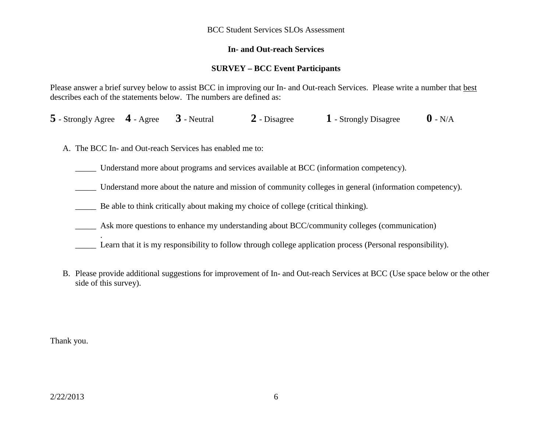#### BCC Student Services SLOs Assessment

### **In- and Out-reach Services**

## **SURVEY – BCC Event Participants**

Please answer a brief survey below to assist BCC in improving our In- and Out-reach Services. Please write a number that best describes each of the statements below. The numbers are defined as:

**5** - Strongly Agree **4** - Agree **3** - Neutral **2** - Disagree **1** - Strongly Disagree **0** - N/A

A. The BCC In- and Out-reach Services has enabled me to:

\_\_\_\_\_ Understand more about programs and services available at BCC (information competency).

\_\_\_\_\_ Understand more about the nature and mission of community colleges in general (information competency).

Be able to think critically about making my choice of college (critical thinking).

\_\_\_\_\_ Ask more questions to enhance my understanding about BCC/community colleges (communication)

- Learn that it is my responsibility to follow through college application process (Personal responsibility).
- B. Please provide additional suggestions for improvement of In- and Out-reach Services at BCC (Use space below or the other side of this survey).

Thank you.

.